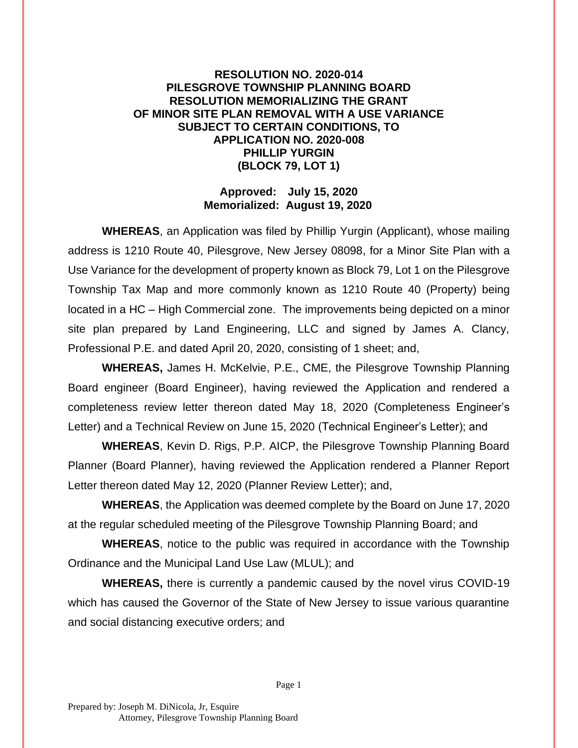## **RESOLUTION NO. 2020-014 PILESGROVE TOWNSHIP PLANNING BOARD RESOLUTION MEMORIALIZING THE GRANT OF MINOR SITE PLAN REMOVAL WITH A USE VARIANCE SUBJECT TO CERTAIN CONDITIONS, TO APPLICATION NO. 2020-008 PHILLIP YURGIN (BLOCK 79, LOT 1)**

## **Approved: July 15, 2020 Memorialized: August 19, 2020**

**WHEREAS**, an Application was filed by Phillip Yurgin (Applicant), whose mailing address is 1210 Route 40, Pilesgrove, New Jersey 08098, for a Minor Site Plan with a Use Variance for the development of property known as Block 79, Lot 1 on the Pilesgrove Township Tax Map and more commonly known as 1210 Route 40 (Property) being located in a HC – High Commercial zone. The improvements being depicted on a minor site plan prepared by Land Engineering, LLC and signed by James A. Clancy, Professional P.E. and dated April 20, 2020, consisting of 1 sheet; and,

**WHEREAS,** James H. McKelvie, P.E., CME, the Pilesgrove Township Planning Board engineer (Board Engineer), having reviewed the Application and rendered a completeness review letter thereon dated May 18, 2020 (Completeness Engineer's Letter) and a Technical Review on June 15, 2020 (Technical Engineer's Letter); and

**WHEREAS**, Kevin D. Rigs, P.P. AICP, the Pilesgrove Township Planning Board Planner (Board Planner), having reviewed the Application rendered a Planner Report Letter thereon dated May 12, 2020 (Planner Review Letter); and,

**WHEREAS**, the Application was deemed complete by the Board on June 17, 2020 at the regular scheduled meeting of the Pilesgrove Township Planning Board; and

**WHEREAS**, notice to the public was required in accordance with the Township Ordinance and the Municipal Land Use Law (MLUL); and

**WHEREAS,** there is currently a pandemic caused by the novel virus COVID-19 which has caused the Governor of the State of New Jersey to issue various quarantine and social distancing executive orders; and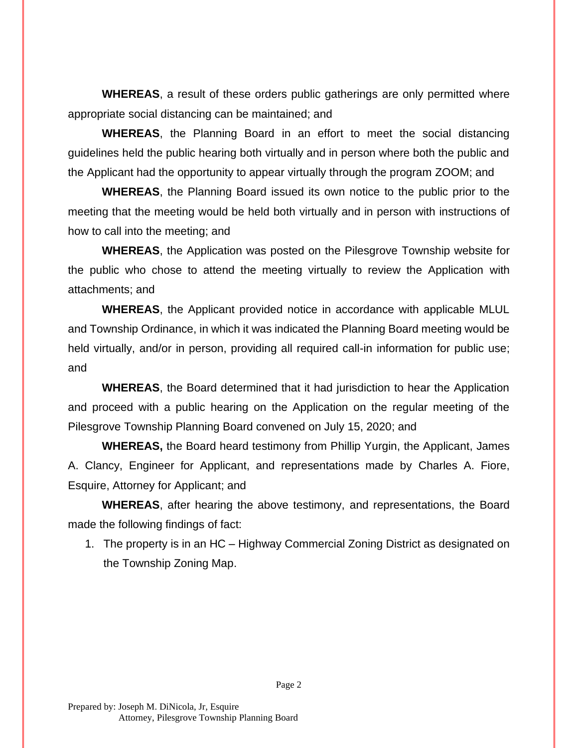**WHEREAS**, a result of these orders public gatherings are only permitted where appropriate social distancing can be maintained; and

**WHEREAS**, the Planning Board in an effort to meet the social distancing guidelines held the public hearing both virtually and in person where both the public and the Applicant had the opportunity to appear virtually through the program ZOOM; and

**WHEREAS**, the Planning Board issued its own notice to the public prior to the meeting that the meeting would be held both virtually and in person with instructions of how to call into the meeting; and

**WHEREAS**, the Application was posted on the Pilesgrove Township website for the public who chose to attend the meeting virtually to review the Application with attachments; and

**WHEREAS**, the Applicant provided notice in accordance with applicable MLUL and Township Ordinance, in which it was indicated the Planning Board meeting would be held virtually, and/or in person, providing all required call-in information for public use; and

**WHEREAS**, the Board determined that it had jurisdiction to hear the Application and proceed with a public hearing on the Application on the regular meeting of the Pilesgrove Township Planning Board convened on July 15, 2020; and

**WHEREAS,** the Board heard testimony from Phillip Yurgin, the Applicant, James A. Clancy, Engineer for Applicant, and representations made by Charles A. Fiore, Esquire, Attorney for Applicant; and

**WHEREAS**, after hearing the above testimony, and representations, the Board made the following findings of fact:

1. The property is in an HC – Highway Commercial Zoning District as designated on the Township Zoning Map.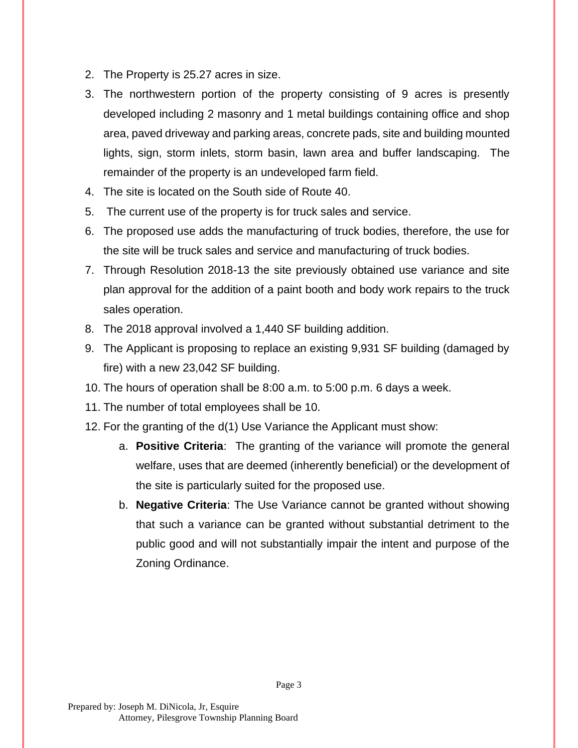- 2. The Property is 25.27 acres in size.
- 3. The northwestern portion of the property consisting of 9 acres is presently developed including 2 masonry and 1 metal buildings containing office and shop area, paved driveway and parking areas, concrete pads, site and building mounted lights, sign, storm inlets, storm basin, lawn area and buffer landscaping. The remainder of the property is an undeveloped farm field.
- 4. The site is located on the South side of Route 40.
- 5. The current use of the property is for truck sales and service.
- 6. The proposed use adds the manufacturing of truck bodies, therefore, the use for the site will be truck sales and service and manufacturing of truck bodies.
- 7. Through Resolution 2018-13 the site previously obtained use variance and site plan approval for the addition of a paint booth and body work repairs to the truck sales operation.
- 8. The 2018 approval involved a 1,440 SF building addition.
- 9. The Applicant is proposing to replace an existing 9,931 SF building (damaged by fire) with a new 23,042 SF building.
- 10. The hours of operation shall be 8:00 a.m. to 5:00 p.m. 6 days a week.
- 11. The number of total employees shall be 10.
- 12. For the granting of the d(1) Use Variance the Applicant must show:
	- a. **Positive Criteria**: The granting of the variance will promote the general welfare, uses that are deemed (inherently beneficial) or the development of the site is particularly suited for the proposed use.
	- b. **Negative Criteria**: The Use Variance cannot be granted without showing that such a variance can be granted without substantial detriment to the public good and will not substantially impair the intent and purpose of the Zoning Ordinance.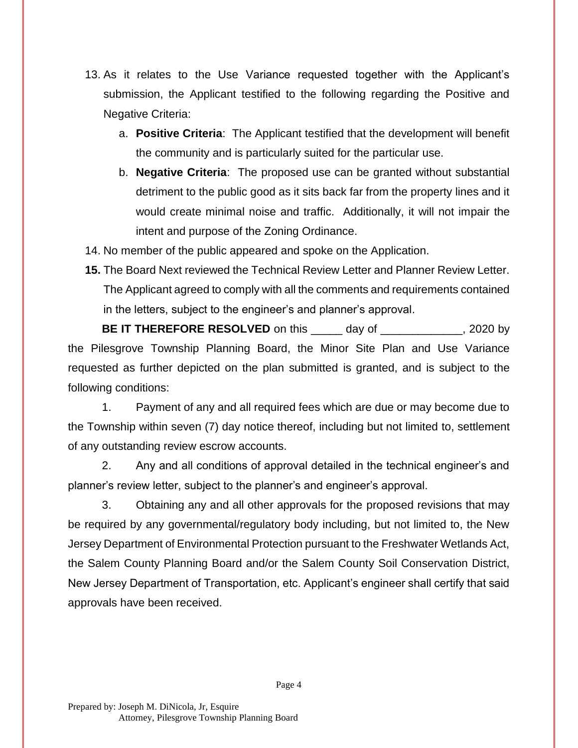- 13. As it relates to the Use Variance requested together with the Applicant's submission, the Applicant testified to the following regarding the Positive and Negative Criteria:
	- a. **Positive Criteria**: The Applicant testified that the development will benefit the community and is particularly suited for the particular use.
	- b. **Negative Criteria**: The proposed use can be granted without substantial detriment to the public good as it sits back far from the property lines and it would create minimal noise and traffic. Additionally, it will not impair the intent and purpose of the Zoning Ordinance.
- 14. No member of the public appeared and spoke on the Application.
- **15.** The Board Next reviewed the Technical Review Letter and Planner Review Letter. The Applicant agreed to comply with all the comments and requirements contained in the letters, subject to the engineer's and planner's approval.

**BE IT THEREFORE RESOLVED** on this \_\_\_\_\_ day of \_\_\_\_\_\_\_\_\_\_\_\_, 2020 by the Pilesgrove Township Planning Board, the Minor Site Plan and Use Variance requested as further depicted on the plan submitted is granted, and is subject to the following conditions:

1. Payment of any and all required fees which are due or may become due to the Township within seven (7) day notice thereof, including but not limited to, settlement of any outstanding review escrow accounts.

2. Any and all conditions of approval detailed in the technical engineer's and planner's review letter, subject to the planner's and engineer's approval.

3. Obtaining any and all other approvals for the proposed revisions that may be required by any governmental/regulatory body including, but not limited to, the New Jersey Department of Environmental Protection pursuant to the Freshwater Wetlands Act, the Salem County Planning Board and/or the Salem County Soil Conservation District, New Jersey Department of Transportation, etc. Applicant's engineer shall certify that said approvals have been received.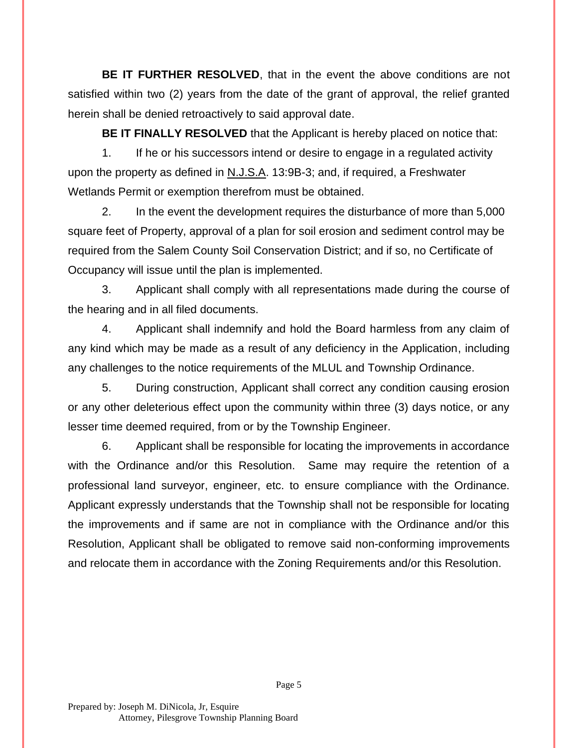**BE IT FURTHER RESOLVED**, that in the event the above conditions are not satisfied within two (2) years from the date of the grant of approval, the relief granted herein shall be denied retroactively to said approval date.

**BE IT FINALLY RESOLVED** that the Applicant is hereby placed on notice that:

1. If he or his successors intend or desire to engage in a regulated activity upon the property as defined in N.J.S.A. 13:9B-3; and, if required, a Freshwater Wetlands Permit or exemption therefrom must be obtained.

2. In the event the development requires the disturbance of more than 5,000 square feet of Property, approval of a plan for soil erosion and sediment control may be required from the Salem County Soil Conservation District; and if so, no Certificate of Occupancy will issue until the plan is implemented.

3. Applicant shall comply with all representations made during the course of the hearing and in all filed documents.

4. Applicant shall indemnify and hold the Board harmless from any claim of any kind which may be made as a result of any deficiency in the Application, including any challenges to the notice requirements of the MLUL and Township Ordinance.

5. During construction, Applicant shall correct any condition causing erosion or any other deleterious effect upon the community within three (3) days notice, or any lesser time deemed required, from or by the Township Engineer.

6. Applicant shall be responsible for locating the improvements in accordance with the Ordinance and/or this Resolution. Same may require the retention of a professional land surveyor, engineer, etc. to ensure compliance with the Ordinance. Applicant expressly understands that the Township shall not be responsible for locating the improvements and if same are not in compliance with the Ordinance and/or this Resolution, Applicant shall be obligated to remove said non-conforming improvements and relocate them in accordance with the Zoning Requirements and/or this Resolution.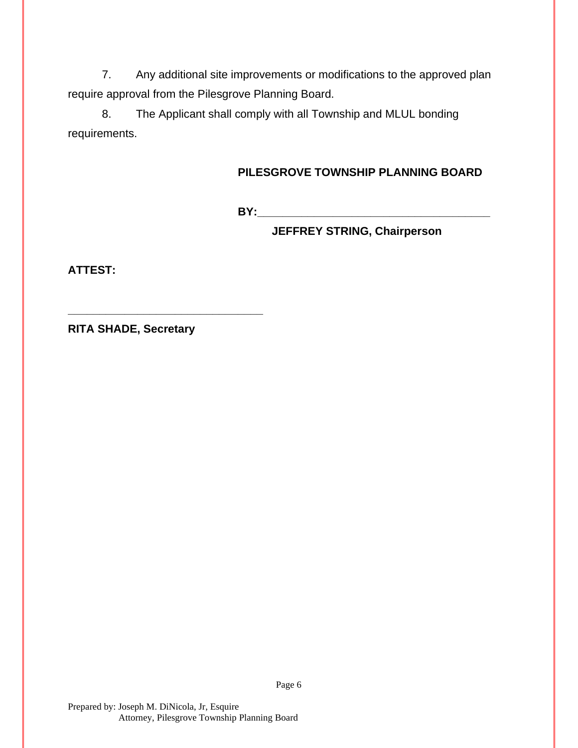7. Any additional site improvements or modifications to the approved plan require approval from the Pilesgrove Planning Board.

8. The Applicant shall comply with all Township and MLUL bonding requirements.

## **PILESGROVE TOWNSHIP PLANNING BOARD**

**BY:\_\_\_\_\_\_\_\_\_\_\_\_\_\_\_\_\_\_\_\_\_\_\_\_\_\_\_\_\_\_\_\_\_\_\_\_\_**

**JEFFREY STRING, Chairperson**

**ATTEST:**

**RITA SHADE, Secretary**

**\_\_\_\_\_\_\_\_\_\_\_\_\_\_\_\_\_\_\_\_\_\_\_\_\_\_\_\_\_\_\_**